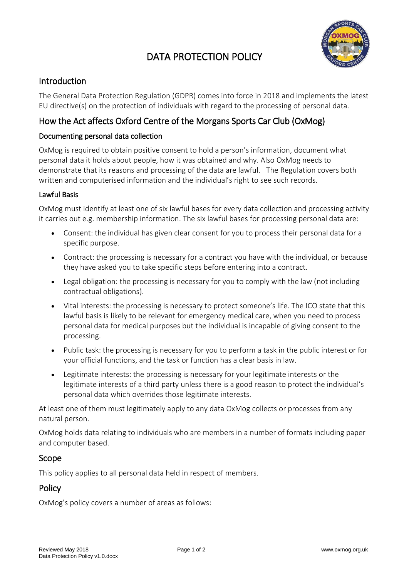# DATA PROTECTION POLICY



## Introduction

The General Data Protection Regulation (GDPR) comes into force in 2018 and implements the latest EU directive(s) on the protection of individuals with regard to the processing of personal data.

# How the Act affects Oxford Centre of the Morgans Sports Car Club (OxMog)

#### Documenting personal data collection

OxMog is required to obtain positive consent to hold a person's information, document what personal data it holds about people, how it was obtained and why. Also OxMog needs to demonstrate that its reasons and processing of the data are lawful. The Regulation covers both written and computerised information and the individual's right to see such records.

#### Lawful Basis

OxMog must identify at least one of six lawful bases for every data collection and processing activity it carries out e.g. membership information. The six lawful bases for processing personal data are:

- Consent: the individual has given clear consent for you to process their personal data for a specific purpose.
- Contract: the processing is necessary for a contract you have with the individual, or because they have asked you to take specific steps before entering into a contract.
- Legal obligation: the processing is necessary for you to comply with the law (not including contractual obligations).
- Vital interests: the processing is necessary to protect someone's life. The ICO state that this lawful basis is likely to be relevant for emergency medical care, when you need to process personal data for medical purposes but the individual is incapable of giving consent to the processing.
- Public task: the processing is necessary for you to perform a task in the public interest or for your official functions, and the task or function has a clear basis in law.
- Legitimate interests: the processing is necessary for your legitimate interests or the legitimate interests of a third party unless there is a good reason to protect the individual's personal data which overrides those legitimate interests.

At least one of them must legitimately apply to any data OxMog collects or processes from any natural person.

OxMog holds data relating to individuals who are members in a number of formats including paper and computer based.

#### Scope

This policy applies to all personal data held in respect of members.

## **Policy**

OxMog's policy covers a number of areas as follows: